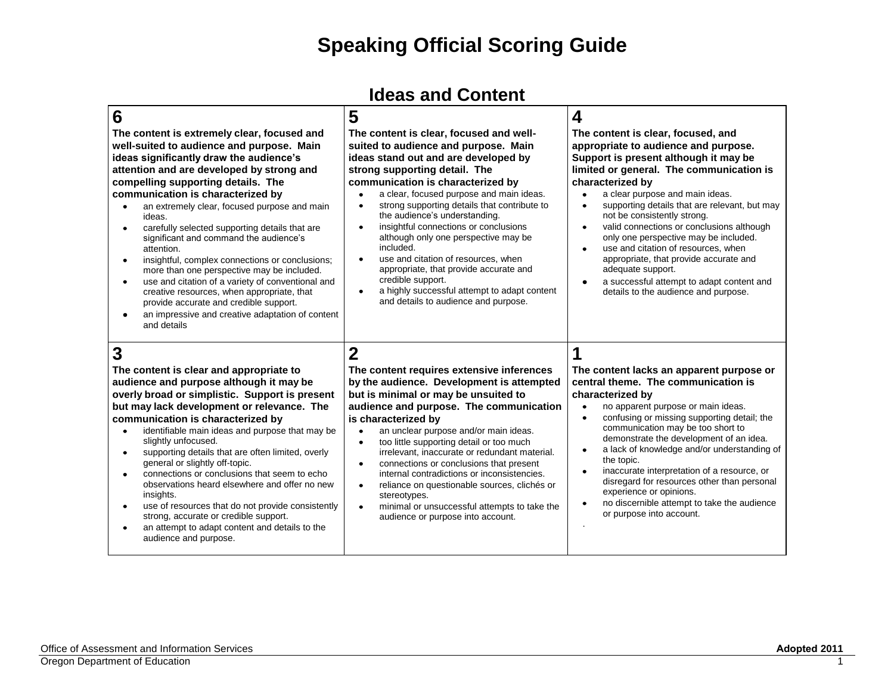#### **Ideas and Content**

| 6                                                                                                                                                                                                                                                                                                                                                                                                                                                                                                                                                                                                                                                                                                                                                                                                    | 5                                                                                                                                                                                                                                                                                                                                                                                                                                                                                                                                                                                                                                                                          | 4                                                                                                                                                                                                                                                                                                                                                                                                                                                                                                                                                                                                                              |
|------------------------------------------------------------------------------------------------------------------------------------------------------------------------------------------------------------------------------------------------------------------------------------------------------------------------------------------------------------------------------------------------------------------------------------------------------------------------------------------------------------------------------------------------------------------------------------------------------------------------------------------------------------------------------------------------------------------------------------------------------------------------------------------------------|----------------------------------------------------------------------------------------------------------------------------------------------------------------------------------------------------------------------------------------------------------------------------------------------------------------------------------------------------------------------------------------------------------------------------------------------------------------------------------------------------------------------------------------------------------------------------------------------------------------------------------------------------------------------------|--------------------------------------------------------------------------------------------------------------------------------------------------------------------------------------------------------------------------------------------------------------------------------------------------------------------------------------------------------------------------------------------------------------------------------------------------------------------------------------------------------------------------------------------------------------------------------------------------------------------------------|
| The content is extremely clear, focused and<br>well-suited to audience and purpose. Main<br>ideas significantly draw the audience's<br>attention and are developed by strong and<br>compelling supporting details. The<br>communication is characterized by<br>an extremely clear, focused purpose and main<br>$\bullet$<br>ideas.<br>carefully selected supporting details that are<br>$\bullet$<br>significant and command the audience's<br>attention.<br>insightful, complex connections or conclusions;<br>$\bullet$<br>more than one perspective may be included.<br>use and citation of a variety of conventional and<br>$\bullet$<br>creative resources, when appropriate, that<br>provide accurate and credible support.<br>an impressive and creative adaptation of content<br>and details | The content is clear, focused and well-<br>suited to audience and purpose. Main<br>ideas stand out and are developed by<br>strong supporting detail. The<br>communication is characterized by<br>a clear, focused purpose and main ideas.<br>strong supporting details that contribute to<br>$\bullet$<br>the audience's understanding.<br>insightful connections or conclusions<br>$\bullet$<br>although only one perspective may be<br>included.<br>use and citation of resources, when<br>$\bullet$<br>appropriate, that provide accurate and<br>credible support.<br>a highly successful attempt to adapt content<br>$\bullet$<br>and details to audience and purpose. | The content is clear, focused, and<br>appropriate to audience and purpose.<br>Support is present although it may be<br>limited or general. The communication is<br>characterized by<br>a clear purpose and main ideas.<br>supporting details that are relevant, but may<br>$\bullet$<br>not be consistently strong.<br>valid connections or conclusions although<br>$\bullet$<br>only one perspective may be included.<br>use and citation of resources, when<br>appropriate, that provide accurate and<br>adequate support.<br>a successful attempt to adapt content and<br>$\bullet$<br>details to the audience and purpose. |
| 3<br>The content is clear and appropriate to<br>audience and purpose although it may be<br>overly broad or simplistic. Support is present<br>but may lack development or relevance. The<br>communication is characterized by<br>identifiable main ideas and purpose that may be<br>$\bullet$<br>slightly unfocused.<br>supporting details that are often limited, overly<br>$\bullet$<br>general or slightly off-topic.<br>connections or conclusions that seem to echo<br>$\bullet$<br>observations heard elsewhere and offer no new<br>insights.<br>use of resources that do not provide consistently<br>$\bullet$<br>strong, accurate or credible support.<br>an attempt to adapt content and details to the<br>audience and purpose.                                                             | $\overline{2}$<br>The content requires extensive inferences<br>by the audience. Development is attempted<br>but is minimal or may be unsuited to<br>audience and purpose. The communication<br>is characterized by<br>an unclear purpose and/or main ideas.<br>$\bullet$<br>too little supporting detail or too much<br>$\bullet$<br>irrelevant, inaccurate or redundant material.<br>connections or conclusions that present<br>$\bullet$<br>internal contradictions or inconsistencies.<br>reliance on questionable sources, clichés or<br>$\bullet$<br>stereotypes.<br>minimal or unsuccessful attempts to take the<br>$\bullet$<br>audience or purpose into account.   | The content lacks an apparent purpose or<br>central theme. The communication is<br>characterized by<br>no apparent purpose or main ideas.<br>confusing or missing supporting detail; the<br>$\bullet$<br>communication may be too short to<br>demonstrate the development of an idea.<br>a lack of knowledge and/or understanding of<br>$\bullet$<br>the topic.<br>inaccurate interpretation of a resource, or<br>disregard for resources other than personal<br>experience or opinions.<br>no discernible attempt to take the audience<br>$\bullet$<br>or purpose into account.                                               |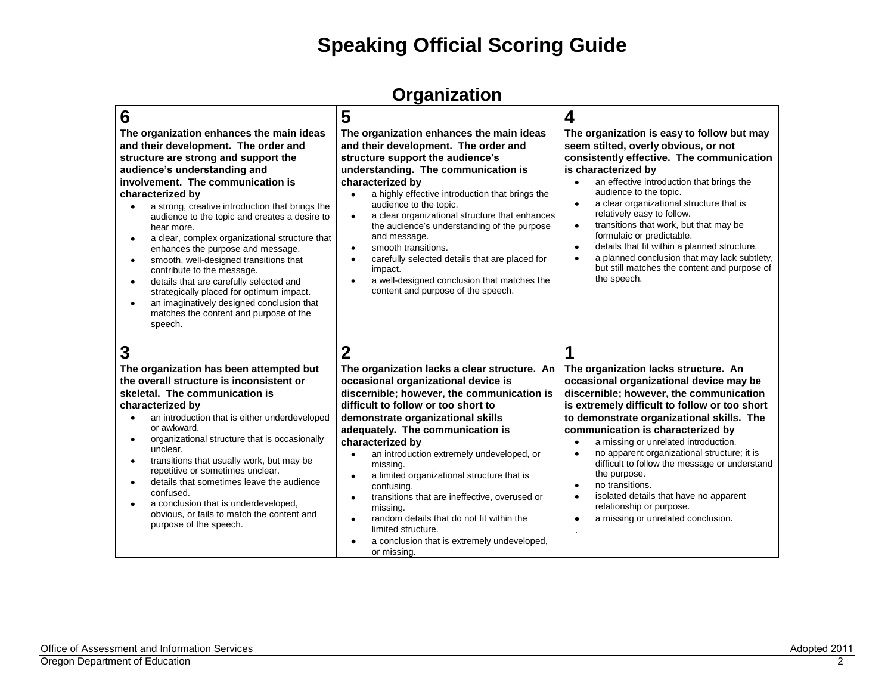#### **Organization**

| 6<br>The organization enhances the main ideas<br>and their development. The order and<br>structure are strong and support the<br>audience's understanding and<br>involvement. The communication is<br>characterized by<br>a strong, creative introduction that brings the<br>audience to the topic and creates a desire to<br>hear more.<br>a clear, complex organizational structure that<br>٠<br>enhances the purpose and message.<br>smooth, well-designed transitions that<br>$\bullet$<br>contribute to the message.<br>details that are carefully selected and<br>strategically placed for optimum impact.<br>an imaginatively designed conclusion that<br>$\bullet$<br>matches the content and purpose of the<br>speech. | 5<br>The organization enhances the main ideas<br>and their development. The order and<br>structure support the audience's<br>understanding. The communication is<br>characterized by<br>a highly effective introduction that brings the<br>$\bullet$<br>audience to the topic.<br>a clear organizational structure that enhances<br>$\bullet$<br>the audience's understanding of the purpose<br>and message.<br>smooth transitions.<br>$\bullet$<br>carefully selected details that are placed for<br>$\bullet$<br>impact.<br>a well-designed conclusion that matches the<br>$\bullet$<br>content and purpose of the speech.                                                | 4<br>The organization is easy to follow but may<br>seem stilted, overly obvious, or not<br>consistently effective. The communication<br>is characterized by<br>an effective introduction that brings the<br>audience to the topic.<br>a clear organizational structure that is<br>relatively easy to follow.<br>transitions that work, but that may be<br>$\bullet$<br>formulaic or predictable.<br>details that fit within a planned structure.<br>$\bullet$<br>a planned conclusion that may lack subtlety,<br>but still matches the content and purpose of<br>the speech. |
|---------------------------------------------------------------------------------------------------------------------------------------------------------------------------------------------------------------------------------------------------------------------------------------------------------------------------------------------------------------------------------------------------------------------------------------------------------------------------------------------------------------------------------------------------------------------------------------------------------------------------------------------------------------------------------------------------------------------------------|-----------------------------------------------------------------------------------------------------------------------------------------------------------------------------------------------------------------------------------------------------------------------------------------------------------------------------------------------------------------------------------------------------------------------------------------------------------------------------------------------------------------------------------------------------------------------------------------------------------------------------------------------------------------------------|------------------------------------------------------------------------------------------------------------------------------------------------------------------------------------------------------------------------------------------------------------------------------------------------------------------------------------------------------------------------------------------------------------------------------------------------------------------------------------------------------------------------------------------------------------------------------|
| 3<br>The organization has been attempted but<br>the overall structure is inconsistent or<br>skeletal. The communication is<br>characterized by<br>an introduction that is either underdeveloped<br>or awkward.<br>organizational structure that is occasionally<br>$\bullet$<br>unclear.<br>transitions that usually work, but may be<br>$\bullet$<br>repetitive or sometimes unclear.<br>details that sometimes leave the audience<br>$\bullet$<br>confused.<br>a conclusion that is underdeveloped,<br>obvious, or fails to match the content and<br>purpose of the speech.                                                                                                                                                   | $\overline{2}$<br>The organization lacks a clear structure. An<br>occasional organizational device is<br>discernible; however, the communication is<br>difficult to follow or too short to<br>demonstrate organizational skills<br>adequately. The communication is<br>characterized by<br>an introduction extremely undeveloped, or<br>$\bullet$<br>missing.<br>a limited organizational structure that is<br>$\bullet$<br>confusing.<br>transitions that are ineffective, overused or<br>$\bullet$<br>missing.<br>random details that do not fit within the<br>$\bullet$<br>limited structure.<br>a conclusion that is extremely undeveloped,<br>$\bullet$<br>or missing. | The organization lacks structure. An<br>occasional organizational device may be<br>discernible; however, the communication<br>is extremely difficult to follow or too short<br>to demonstrate organizational skills. The<br>communication is characterized by<br>a missing or unrelated introduction.<br>no apparent organizational structure; it is<br>difficult to follow the message or understand<br>the purpose.<br>no transitions.<br>isolated details that have no apparent<br>relationship or purpose.<br>a missing or unrelated conclusion.                         |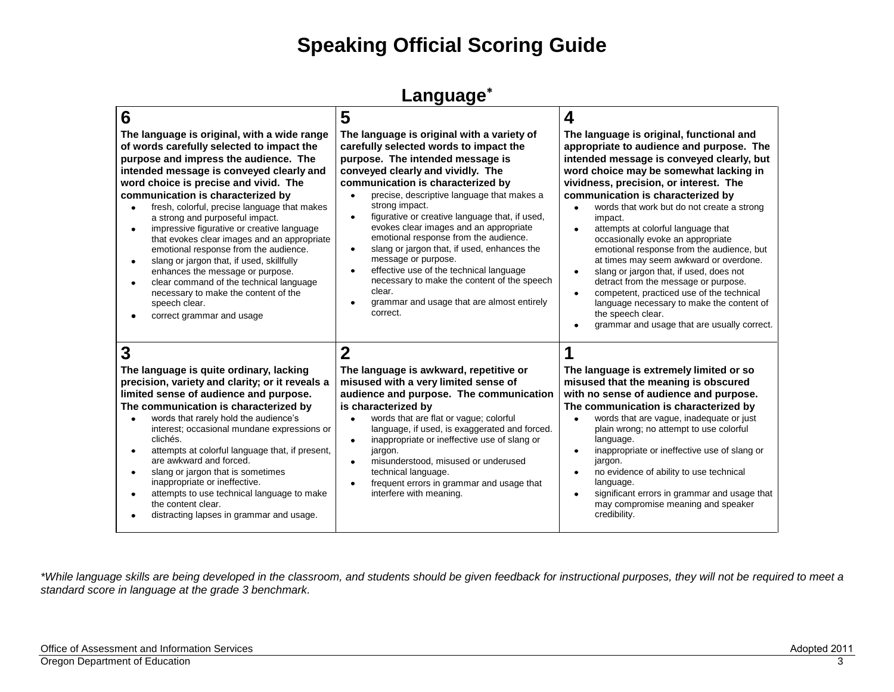#### **Language**

| 6                                                                                                                                                                                                                                                                                                                                                                                                                                                                                                                                                                                                                                                                                                                                                          | 5                                                                                                                                                                                                                                                                                                                                                                                                                                                                                                                                                                                                                                                                     | 4                                                                                                                                                                                                                                                                                                                                                                                                                                                                                                                                                                                                                                                                                                                                                   |
|------------------------------------------------------------------------------------------------------------------------------------------------------------------------------------------------------------------------------------------------------------------------------------------------------------------------------------------------------------------------------------------------------------------------------------------------------------------------------------------------------------------------------------------------------------------------------------------------------------------------------------------------------------------------------------------------------------------------------------------------------------|-----------------------------------------------------------------------------------------------------------------------------------------------------------------------------------------------------------------------------------------------------------------------------------------------------------------------------------------------------------------------------------------------------------------------------------------------------------------------------------------------------------------------------------------------------------------------------------------------------------------------------------------------------------------------|-----------------------------------------------------------------------------------------------------------------------------------------------------------------------------------------------------------------------------------------------------------------------------------------------------------------------------------------------------------------------------------------------------------------------------------------------------------------------------------------------------------------------------------------------------------------------------------------------------------------------------------------------------------------------------------------------------------------------------------------------------|
| The language is original, with a wide range<br>of words carefully selected to impact the<br>purpose and impress the audience. The<br>intended message is conveyed clearly and<br>word choice is precise and vivid. The<br>communication is characterized by<br>fresh, colorful, precise language that makes<br>a strong and purposeful impact.<br>impressive figurative or creative language<br>$\bullet$<br>that evokes clear images and an appropriate<br>emotional response from the audience.<br>slang or jargon that, if used, skillfully<br>$\bullet$<br>enhances the message or purpose.<br>clear command of the technical language<br>$\bullet$<br>necessary to make the content of the<br>speech clear.<br>correct grammar and usage<br>$\bullet$ | The language is original with a variety of<br>carefully selected words to impact the<br>purpose. The intended message is<br>conveyed clearly and vividly. The<br>communication is characterized by<br>precise, descriptive language that makes a<br>strong impact.<br>figurative or creative language that, if used,<br>$\bullet$<br>evokes clear images and an appropriate<br>emotional response from the audience.<br>slang or jargon that, if used, enhances the<br>$\bullet$<br>message or purpose.<br>effective use of the technical language<br>necessary to make the content of the speech<br>clear.<br>grammar and usage that are almost entirely<br>correct. | The language is original, functional and<br>appropriate to audience and purpose. The<br>intended message is conveyed clearly, but<br>word choice may be somewhat lacking in<br>vividness, precision, or interest. The<br>communication is characterized by<br>words that work but do not create a strong<br>impact.<br>attempts at colorful language that<br>occasionally evoke an appropriate<br>emotional response from the audience, but<br>at times may seem awkward or overdone.<br>slang or jargon that, if used, does not<br>$\bullet$<br>detract from the message or purpose.<br>competent, practiced use of the technical<br>language necessary to make the content of<br>the speech clear.<br>grammar and usage that are usually correct. |
| 3<br>The language is quite ordinary, lacking<br>precision, variety and clarity; or it reveals a<br>limited sense of audience and purpose.<br>The communication is characterized by<br>words that rarely hold the audience's<br>$\bullet$<br>interest; occasional mundane expressions or<br>clichés.<br>attempts at colorful language that, if present,<br>٠<br>are awkward and forced.<br>slang or jargon that is sometimes<br>$\bullet$<br>inappropriate or ineffective.<br>attempts to use technical language to make<br>$\bullet$<br>the content clear.<br>distracting lapses in grammar and usage.<br>٠                                                                                                                                                | $\mathbf 2$<br>The language is awkward, repetitive or<br>misused with a very limited sense of<br>audience and purpose. The communication<br>is characterized by<br>words that are flat or vague; colorful<br>$\bullet$<br>language, if used, is exaggerated and forced.<br>inappropriate or ineffective use of slang or<br>$\bullet$<br>jargon.<br>misunderstood, misused or underused<br>technical language.<br>frequent errors in grammar and usage that<br>interfere with meaning.                                                                                                                                                                                 | The language is extremely limited or so<br>misused that the meaning is obscured<br>with no sense of audience and purpose.<br>The communication is characterized by<br>words that are vague, inadequate or just<br>plain wrong; no attempt to use colorful<br>language.<br>inappropriate or ineffective use of slang or<br>jargon.<br>no evidence of ability to use technical<br>language.<br>significant errors in grammar and usage that<br>$\bullet$<br>may compromise meaning and speaker<br>credibility.                                                                                                                                                                                                                                        |

*\*While language skills are being developed in the classroom, and students should be given feedback for instructional purposes, they will not be required to meet a standard score in language at the grade 3 benchmark.*